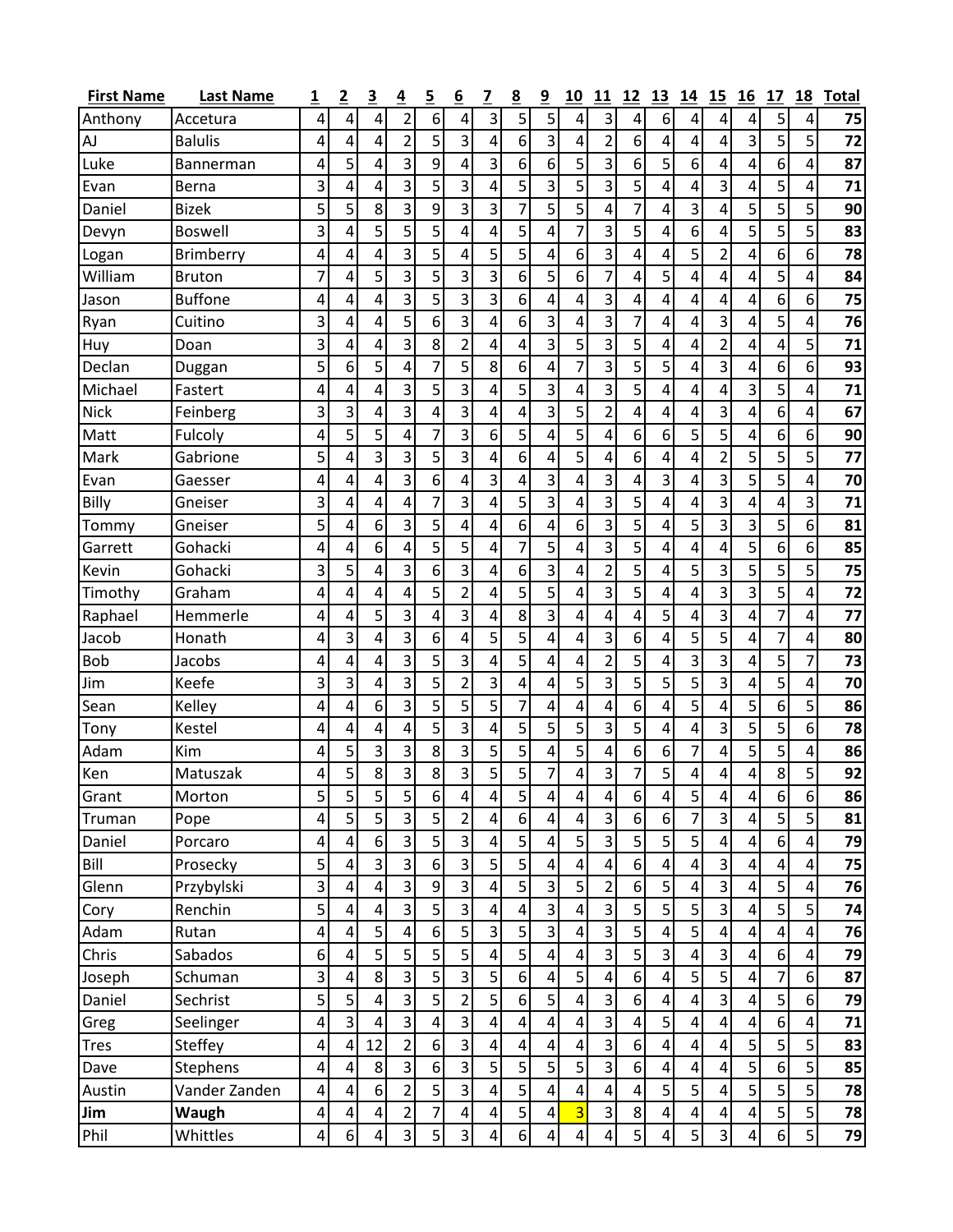| <b>First Name</b> | <b>Last Name</b> | 1               | $\overline{2}$ | $\overline{\mathbf{3}}$ | 4                       | $\overline{5}$   | 6                       | 7                       | 8               | 9                       | 10 | 11             | 12               | 13                      | 14                      | 15                      | 16                      | 17                      | 18                      | <b>Total</b> |
|-------------------|------------------|-----------------|----------------|-------------------------|-------------------------|------------------|-------------------------|-------------------------|-----------------|-------------------------|----|----------------|------------------|-------------------------|-------------------------|-------------------------|-------------------------|-------------------------|-------------------------|--------------|
| Anthony           | Accetura         | 4               | 4              | 4                       | 2                       | 6                | 4                       | 3                       | $\overline{5}$  | 5                       | 4  | 3              | 4                | 6                       | 4                       | 4                       | 4                       | 5                       | 4                       | 75           |
| AJ                | <b>Balulis</b>   | 4               | 4              | 4                       | $\overline{2}$          | 5                | $\overline{3}$          | 4                       | $6 \mid$        | 3                       | 4  | $\overline{2}$ | 6                | 4                       | 4                       | 4                       | 3                       | 5                       | 5                       | 72           |
| Luke              | Bannerman        | 4               | 5              | 4                       | 3                       | 9                | 4                       | 3                       | 6               | 6                       | 5  | 3              | 6                | 5                       | 6                       | 4                       | 4                       | 6                       | 4                       | 87           |
| Evan              | Berna            | 3               | 4              | 4                       | 3                       | 5                | 3                       | 4                       | 5               | 3                       | 5  | 3              | 5                | 4                       | 4                       | 3                       | 4                       | 5                       | 4                       | 71           |
| Daniel            | <b>Bizek</b>     | 5               | 5              | 8                       | 3                       | 9                | $\overline{\mathbf{3}}$ | 3                       | $\overline{7}$  | 5                       | 5  | 4              | 7                | 4                       | 3                       | 4                       | 5                       | 5                       | 5                       | 90           |
| Devyn             | <b>Boswell</b>   | 3               | 4              | 5                       | 5                       | 5                | 4                       | 4                       | 5               | 4                       | 7  | 3              | 5                | 4                       | 6                       | 4                       | 5                       | 5                       | 5                       | 83           |
| Logan             | <b>Brimberry</b> | 4               | 4              | 4                       | 3                       | 5                | $\overline{4}$          | 5                       | 5               | $\overline{4}$          | 6  | 3              | 4                | 4                       | 5                       | $\overline{2}$          | 4                       | 6                       | 6                       | 78           |
| William           | <b>Bruton</b>    | 7               | 4              | 5                       | 3                       | 5                | 3                       | 3                       | 6               | 5                       | 6  | 7              | 4                | 5                       | 4                       | 4                       | 4                       | 5                       | 4                       | 84           |
| Jason             | <b>Buffone</b>   | 4               | 4              | 4                       | 3                       | 5                | 3                       | 3                       | 6               | 4                       | 4  | 3              | 4                | 4                       | 4                       | 4                       | 4                       | 6                       | 6                       | 75           |
| Ryan              | Cuitino          | 3               | 4              | 4                       | 5                       | 6                | 3                       | 4                       | 6               | 3                       | 4  | 3              | 7                | 4                       | 4                       | 3                       | 4                       | 5                       | 4                       | 76           |
| Huy               | Doan             | 3               | 4              | 4                       | 3                       | 8                | 2                       | 4                       | 4               | 3                       | 5  | 3              | 5                | 4                       | 4                       | 2                       | 4                       | 4                       | 5                       | 71           |
| Declan            | Duggan           | 5               | 6              | 5                       | 4                       | 7                | $\overline{5}$          | 8                       | 6               | 4                       | 7  | 3              | 5                | 5 <sub>l</sub>          | 4                       | 3                       | 4                       | 6                       | 6                       | 93           |
| Michael           | Fastert          | 4               | 4              | 4                       | 3                       | 5                | 3                       | 4                       | 5               | 3                       | 4  | 3              | 5                | 4                       | 4                       | 4                       | 3                       | 5                       | 4                       | 71           |
| <b>Nick</b>       | Feinberg         | 3               | 3              | 4                       | 3                       | 4                | $\overline{3}$          | 4                       | 4               | 3                       | 5  | $\overline{2}$ | 4                | 4                       | 4                       | 3                       | 4                       | 6                       | 4                       | 67           |
| Matt              | Fulcoly          | 4               | 5              | 5                       | 4                       | 7                | 3                       | 6                       | 5               | 4                       | 5  | 4              | 6                | 6                       | 5                       | 5                       | 4                       | 6                       | 6                       | 90           |
| Mark              | Gabrione         | 5               | 4              | 3                       | 3                       | 5                | 3                       | 4                       | 6               | 4                       | 5  | 4              | 6                | 4                       | 4                       | $\overline{2}$          | 5                       | 5                       | 5                       | 77           |
| Evan              | Gaesser          | 4               | 4              | 4                       | 3                       | 6                | 4                       | 3                       | 4               | 3                       | 4  | 3              | 4                | 3                       | 4                       | 3                       | 5                       | 5                       | 4                       | 70           |
| Billy             | Gneiser          | 3               | 4              | 4                       | 4                       | 7                | 3                       | 4                       | 5               | 3                       | 4  | 3              | 5                | 4                       | 4                       | 3                       | 4                       | 4                       | 3                       | 71           |
| Tommy             | Gneiser          | 5               | 4              | 6                       | 3                       | 5                | 4                       | 4                       | 6               | 4                       | 6  | 3              | 5                | 4                       | 5                       | 3                       | 3                       | 5                       | 6                       | 81           |
| Garrett           | Gohacki          | 4               | 4              | 6                       | 4                       | 5                | 5                       | 4                       | 7               | 5                       | 4  | 3              | 5                | 4                       | 4                       | 4                       | 5                       | 6                       | 6                       | 85           |
| Kevin             | Gohacki          | 3               | 5              | 4                       | 3                       | 6                | 3                       | 4                       | 6               | 3                       | 4  | $\overline{2}$ | 5                | 4                       | 5                       | 3                       | 5                       | 5                       | 5                       | 75           |
| Timothy           | Graham           | 4               | 4              | 4                       | 4                       | 5                | $\overline{2}$          | 4                       | 5               | 5                       | 4  | 3              | 5                | 4                       | 4                       | 3                       | 3                       | 5                       | 4                       | 72           |
| Raphael           | Hemmerle         | 4               | 4              | 5                       | 3                       | 4                | 3                       | 4                       | 8               | 3                       | 4  | 4              | 4                | 5                       | 4                       | 3                       | 4                       | 7                       | 4                       | 77           |
| Jacob             | Honath           | 4               | 3              | 4                       | 3                       | 6                | 4                       | 5                       | 5               | 4                       | 4  | 3              | 6                | 4                       | 5                       | 5                       | 4                       | 7                       | 4                       | 80           |
| <b>Bob</b>        | Jacobs           | 4               | 4              | 4                       | 3                       | 5                | 3                       | 4                       | 5               | 4                       | 4  | $\overline{2}$ | 5                | 4                       | 3                       | 3                       | 4                       | 5                       | 7                       | 73           |
| Jim               | Keefe            | 3               | 3              | 4                       | 3                       | 5                | $\overline{2}$          | 3                       | 4               | $\overline{4}$          | 5  | 3              | 5                | 5                       | 5                       | 3                       | 4                       | 5                       | 4                       | 70           |
| Sean              | Kelley           | 4               | 4              | 6                       | 3                       | 5                | 5                       | 5                       | 7               | 4                       | 4  | 4              | 6                | 4                       | 5                       | 4                       | 5                       | 6                       | 5                       | 86           |
| Tony              | Kestel           | 4               | 4              | 4                       | 4                       | 5                | $\overline{\mathbf{3}}$ | 4                       | 5               | 5                       | 5  | 3              | 5                | 4                       | 4                       | 3                       | 5                       | 5                       | 6                       | 78           |
| Adam              | Kim              | 4               | 5              | 3                       | 3                       | 8                | $\overline{3}$          | 5                       | 5               | 4                       | 5  | 4              | $6 \overline{6}$ | 6                       | 7                       | 4                       | 5                       | 5                       | 4                       | 86           |
| Ken               | Matuszak         | 4               | 5              | 8                       | 3                       | 8                | $\overline{\mathbf{3}}$ | 5                       | $\overline{5}$  | 7                       | 4  | 3              | 7                | 5                       | 4                       | 4                       | 4                       | 8                       | 5                       | 92           |
| Grant             | Morton           | $\mathsf{S}$    | 5              | $\mathsf S$             | $\mathsf{S}$            | $\sqrt{6}$       | $\vert 4 \vert$         | $\vert 4 \vert$         | $\mathsf{5}$    | $\pmb{4}$               | 4  | 4              | $\sqrt{6}$       | $\vert 4 \vert$         | 5 <sup>1</sup>          | 4                       | 4                       | 6 <sup>1</sup>          | 6 <sup>1</sup>          | 86           |
| Truman            | Pope             | 4               | 5              | 5                       | 3                       | 5 <sup>1</sup>   | $\overline{2}$          | 4                       | $6 \mid$        | 4                       | 4  | 3              | 6                | 6                       | 7                       | $\overline{3}$          | 4                       | 5                       | 5                       | 81           |
| Daniel            | Porcaro          | 4               | 4              | 6                       | 3                       | $\overline{5}$   | $\overline{3}$          | $\overline{\mathbf{4}}$ | $\overline{5}$  | 4                       | 5  | 3              | 5                | 5                       | 5                       | $\overline{4}$          | 4                       | 6 <sup>1</sup>          | $\overline{4}$          | 79           |
| Bill              | Prosecky         | 5               | 4              | 3                       | $\overline{\mathbf{3}}$ | $\sqrt{6}$       | $\overline{\mathbf{3}}$ | 5                       | $\overline{5}$  | $\pmb{4}$               | 4  | 4              | 6                | $\overline{\mathbf{r}}$ | $\pmb{4}$               | $\overline{\mathbf{3}}$ | 4                       | $\overline{\mathbf{r}}$ | $\overline{\mathbf{r}}$ | 75           |
| Glenn             | Przybylski       | 3               | 4              | 4                       | 3                       | $9\,$            | $\overline{\mathbf{3}}$ | $\overline{\mathbf{4}}$ | $\overline{5}$  | 3                       | 5  | $\overline{2}$ | 6                | 5 <sub>l</sub>          | $\pmb{4}$               | $\overline{3}$          | $\overline{4}$          | 5                       | 4                       | 76           |
| Cory              | Renchin          | 5               | 4              | 4                       | 3                       | $\overline{5}$   | $\overline{3}$          | 4                       | $\vert 4 \vert$ | 3                       | 4  | 3              | $\overline{5}$   | 5 <sub>l</sub>          | 5 <sup>1</sup>          | $\overline{3}$          | 4                       | 5                       | 5                       | 74           |
| Adam              | Rutan            | 4               | 4              | 5                       | 4                       | $6 \mid$         | 5                       | 3                       | $\overline{5}$  | 3                       | 4  | 3              | $\overline{5}$   | $\overline{\mathbf{r}}$ | 5                       | $\overline{4}$          | 4                       | $\pmb{4}$               | $\pmb{4}$               | 76           |
| Chris             | Sabados          | 6 <sup>1</sup>  | 4              | 5                       | 5                       | $\overline{5}$   | $\overline{5}$          | $\overline{\mathbf{4}}$ | $\overline{5}$  | 4                       | 4  | 3              | 5                | $\overline{3}$          | 4                       | $\overline{3}$          | 4                       | 6                       | $\overline{\mathbf{4}}$ | 79           |
| Joseph            | Schuman          | $\overline{3}$  | 4              | 8                       | 3                       | 5                | $\vert$ 3               | 5                       | 6 <sup>1</sup>  | 4                       | 5  | 4              | $6 \overline{6}$ | 4                       | 5 <sup>1</sup>          | $\overline{5}$          | 4                       | 7                       | 6                       | 87           |
| Daniel            | Sechrist         | $\overline{5}$  | 5              | 4                       | $\overline{3}$          | $\overline{5}$   | $\overline{2}$          | $\overline{5}$          | 6 <sup>1</sup>  | 5                       | 4  | 3              | $\sqrt{6}$       | 4                       | $\overline{\mathbf{4}}$ | $\overline{3}$          | $\overline{4}$          | 5                       | 6                       | 79           |
| Greg              | Seelinger        | 4               | 3              | 4                       | 3                       | 4                | $\overline{3}$          | $\overline{\mathbf{4}}$ | $\vert 4 \vert$ | 4                       | 4  | 3              | 4                | 5                       | $\overline{\mathbf{4}}$ | $\overline{4}$          | 4                       | 6                       | 4                       | 71           |
| <b>Tres</b>       | Steffey          | 4               | 4              | 12                      | $\overline{2}$          | $\sqrt{6}$       | $\overline{3}$          | 4                       | $\vert 4 \vert$ | 4                       | 4  | 3              | $\sqrt{6}$       | $\overline{\mathbf{r}}$ | 4                       | 4                       | 5                       | 5                       | 5                       | 83           |
| Dave              | Stephens         | 4               | 4              | $\,8\,$                 | $\overline{3}$          | $6 \overline{6}$ | $\overline{3}$          | 5                       | $\overline{5}$  | 5                       | 5  | 3              | $6 \overline{6}$ | $\overline{\mathbf{r}}$ | 4                       | 4                       | 5                       | 6                       | 5                       | 85           |
| Austin            | Vander Zanden    | 4               | 4              | 6                       | $\overline{2}$          | 5 <sup>1</sup>   | $\overline{3}$          | $\overline{\mathbf{4}}$ | $\overline{5}$  | 4                       | 4  | 4              | 4                | 5 <sub>l</sub>          | 5 <sup>1</sup>          | $\overline{4}$          | 5                       | 5                       | 5                       | 78           |
| Jim               | Waugh            | 4               | 4              | 4                       | $\overline{2}$          | 7                | $\overline{4}$          | 4                       | $\overline{5}$  | $\overline{\mathbf{4}}$ | 3  | 3              | 8                | $\overline{\mathbf{r}}$ | 4                       | $\overline{4}$          | $\overline{4}$          | 5                       | 5                       | 78           |
| Phil              | Whittles         | $\vert 4 \vert$ | 6              | 4                       | $\overline{\mathbf{3}}$ | 5 <sup>1</sup>   | $\mathsf{3}$            | 4                       | 6 <sup>1</sup>  | 4                       | 4  | 4              | 5                | 4                       | $\mathsf{S}$            | $\overline{3}$          | $\overline{\mathbf{r}}$ | $6 \mid$                | 5                       | 79           |